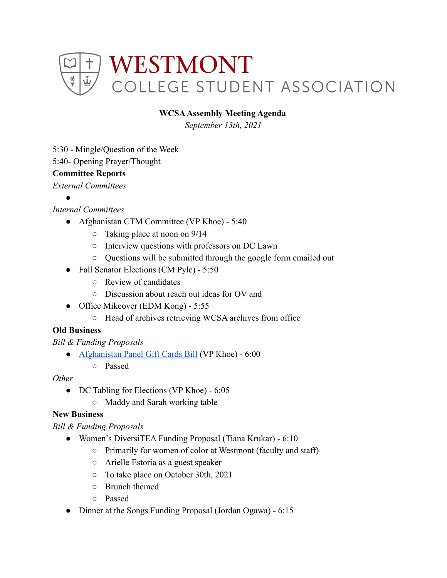

### **WCSAAssembly Meeting Agenda**

*September 13th, 2021*

- 5:30 Mingle/Question of the Week
- 5:40- Opening Prayer/Thought

### **Committee Reports**

*External Committees*

●

# *Internal Committees*

- Afghanistan CTM Committee (VP Khoe) 5:40
	- Taking place at noon on 9/14
	- Interview questions with professors on DC Lawn
	- Questions will be submitted through the google form emailed out
- Fall Senator Elections (CM Pyle) 5:50
	- Review of candidates
	- Discussion about reach out ideas for OV and
- Office Mikeover (EDM Kong) 5:55
	- Head of archives retrieving WCSA archives from office

## **Old Business**

*Bill & Funding Proposals*

- [Afghanistan Panel Gift Cards Bill](https://docs.google.com/document/d/1tqtTzoSe5lYgb8BzvqTtXeGz_eE8wF7CUYaT18R8GFw/edit) (VP Khoe) 6:00
	- Passed

#### *Other*

- DC Tabling for Elections (VP Khoe) 6:05
	- Maddy and Sarah working table

## **New Business**

*Bill & Funding Proposals*

- Women's DiversiTEA Funding Proposal (Tiana Krukar) 6:10
	- Primarily for women of color at Westmont (faculty and staff)
	- Arielle Estoria as a guest speaker
	- To take place on October 30th, 2021
	- Brunch themed
	- Passed
- Dinner at the Songs Funding Proposal (Jordan Ogawa) 6:15